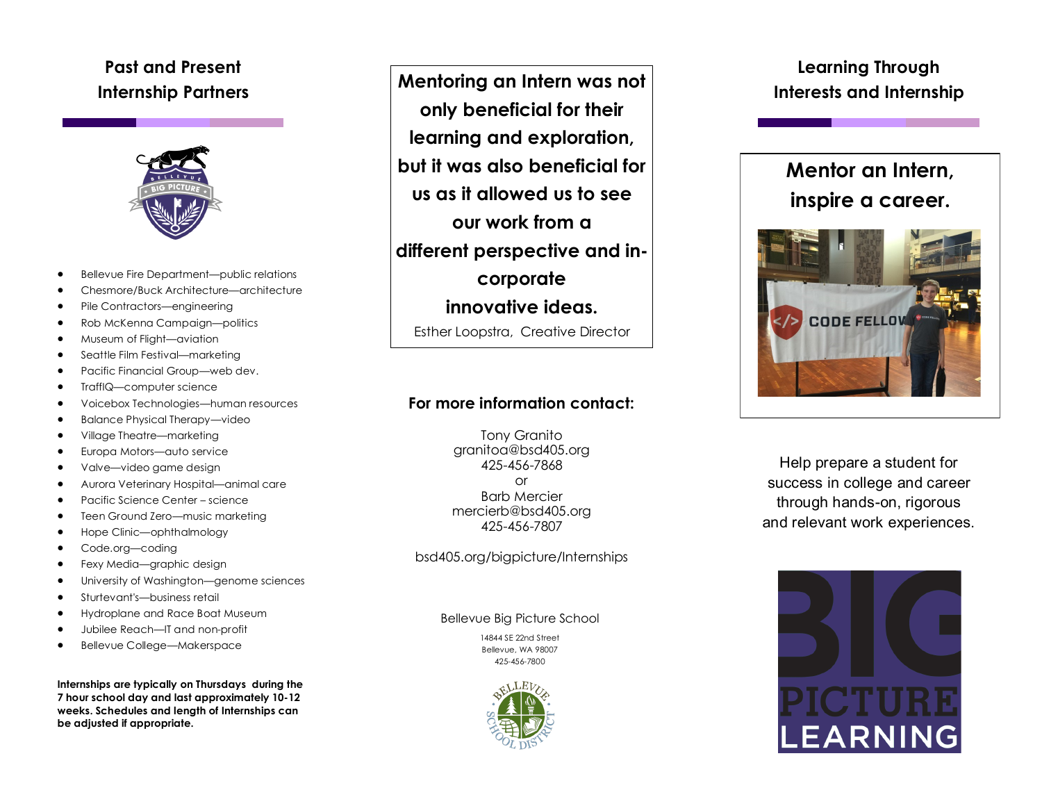# **Past and Present Internship Partners**



- Bellevue Fire Department—public relations
- Chesmore/Buck Architecture—architecture
- Pile Contractors—engineering
- Rob McKenna Campaign—politics
- Museum of Flight—aviation
- Seattle Film Festival—marketing
- Pacific Financial Group—web dev.
- TraffIQ—computer science
- Voicebox Technologies—human resources
- Balance Physical Therapy—video
- Village Theatre—marketing
- Europa Motors—auto service
- Valve—video game design
- Aurora Veterinary Hospital—animal care
- Pacific Science Center science
- Teen Ground Zero—music marketing
- Hope Clinic—ophthalmology
- Code.org-coding
- Fexy Media—graphic design
- University of Washington—genome sciences
- Sturtevant's—business retail
- Hydroplane and Race Boat Museum
- Jubilee Reach—IT and non-profit
- Bellevue College—Makerspace

**Internships are typically on Thursdays during the 7 hour school day and last approximately 10-12 weeks. Schedules and length of Internships can be adjusted if appropriate.**

**Mentoring an Intern was not only beneficial for their learning and exploration, but it was also beneficial for us as it allowed us to see our work from a different perspective and incorporate innovative ideas.**  Esther Loopstra, Creative Director

## **For more information contact:**

Tony Granito granitoa@bsd405.org 425-456-7868 or Barb Mercier mercierb@bsd405.org 425-456-7807

#### bsd405.org/bigpicture/Internships

Bellevue Big Picture School

14844 SE 22nd Street Bellevue, WA 98007 425-456-7800



# **Learning Through Interests and Internship**

# **Mentor an Intern, inspire a career.**



Help prepare a student for success in college and career through hands-on, rigorous and relevant work experiences.